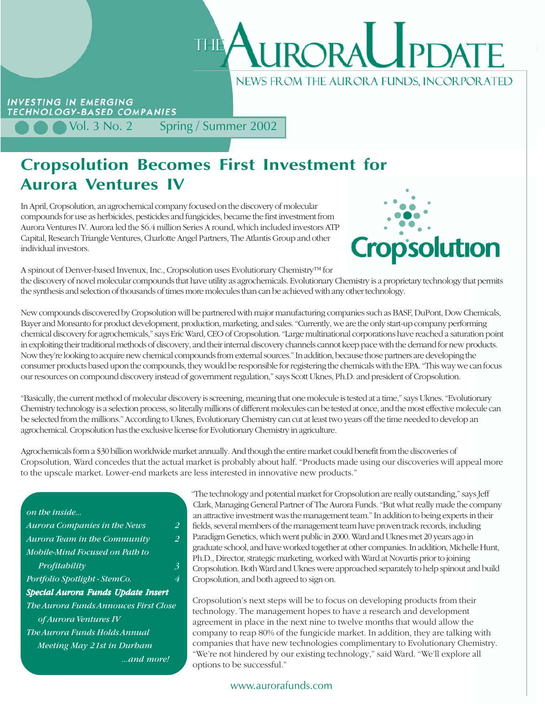NEWS FROM THE AURORA FUNDS, INCORPORATED

#### **INVESTING IN EMERGING** TECHNOLOGY-BASED COMPANIES

Vol. 3 No. 2 Spring / Summer 2002

### **Cropsolution Becomes First Investment for Aurora Ventures IV**

In April, Cropsolution, an agrochemical company focused on the discovery of molecular compounds for use as herbicides, pesticides and fungicides, became the first investment from Aurora Ventures IV. Aurora led the \$6.4 million Series A round, which included investors ATP Capital, Research Triangle Ventures, Charlotte Angel Partners, The Atlantis Group and other individual investors.



A spinout of Denver-based Invenux, Inc., Cropsolution uses Evolutionary Chemistry™ for the discovery of novel molecular compounds that have utility as agrochemicals. Evolutionary Chemistry is a proprietary technology that permits the synthesis and selection of thousands of times more molecules than can be achieved with any other technology.

New compounds discovered by Cropsolution will be partnered with major manufacturing companies such as BASF, DuPont, Dow Chemicals, Bayer and Monsanto for product development, production, marketing, and sales. "Currently, we are the only start-up company performing chemical discovery for agrochemicals," says Eric Ward, CEO of Cropsolution. "Large multinational corporations have reached a saturation point in exploiting their traditional methods of discovery, and their internal discovery channels cannot keep pace with the demand for new products. Now they're looking to acquire new chemical compounds from external sources." In addition, because those partners are developing the consumer products based upon the compounds, they would be responsible for registering the chemicals with the EPA. "This way we can focus our resources on compound discovery instead of government regulation," says Scott Uknes, Ph.D. and president of Cropsolution.

"Basically, the current method of molecular discovery is screening, meaning that one molecule is tested at a time," says Uknes. "Evolutionary Chemistry technology is a selection process, so literally millions of different molecules can be tested at once, and the most effective molecule can be selected from the millions." According to Uknes, Evolutionary Chemistry can cut at least two years off the time needed to develop an agrochemical. Cropsolution has the exclusive license for Evolutionary Chemistry in agriculture.

Agrochemicals form a \$30 billion worldwide market annually. And though the entire market could benefit from the discoveries of Cropsolution, Ward concedes that the actual market is probably about half. "Products made using our discoveries will appeal more to the upscale market. Lower-end markets are less interested in innovative new products."

| on the inside                         |   |
|---------------------------------------|---|
| <b>Aurora</b> Companies in the News   | 2 |
| Aurora Team in the Community          | 2 |
| Mobile-Mind Focused on Path to        |   |
| Profitability                         | 3 |
| Portfolio Spotlight - StemCo.         | 4 |
| Special Aurora Funds Update Insert    |   |
| The Aurora Funds Annouces First Close |   |
| of Aurora Ventures IV                 |   |
| The Aurora Funds Holds Annual         |   |
| Meeting May 21st in Durbam            |   |
| and more!                             |   |

"The technology and potential market for Cropsolution are really outstanding," says Jeff Clark, Managing General Partner of The Aurora Funds. "But what really made the company an attractive investment was the management team." In addition to being experts in their fields, several members of the management team have proven track records, including Paradigm Genetics, which went public in 2000. Ward and Uknes met 20 years ago in graduate school, and have worked together at other companies. In addition, Michelle Hunt, Ph.D., Director, strategic marketing, worked with Ward at Novartis prior to joining Cropsolution. Both Ward and Uknes were approached separately to help spinout and build Cropsolution, and both agreed to sign on.

Cropsolution's next steps will be to focus on developing products from their technology. The management hopes to have a research and development agreement in place in the next nine to twelve months that would allow the company to reap 80% of the fungicide market. In addition, they are talking with companies that have new technologies complimentary to Evolutionary Chemistry. "We're not hindered by our existing technology," said Ward. "We'll explore all options to be successful."

#### www.aurorafunds.com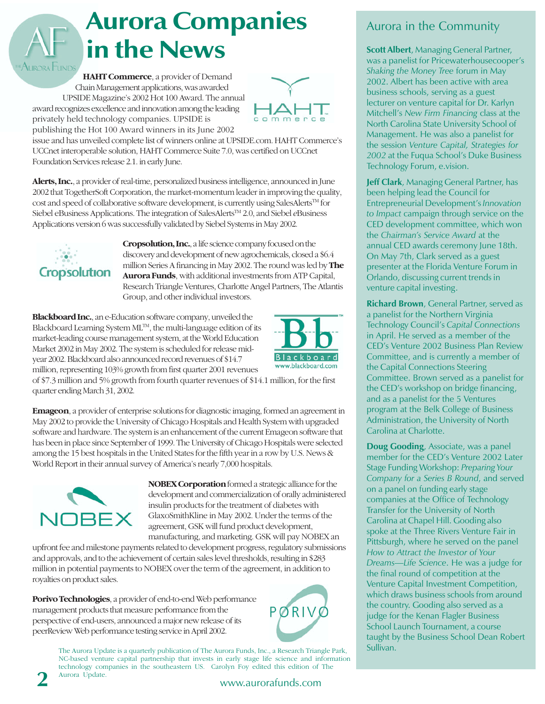# **Aurora Companies in the News**

**HAHT Commerce**, a provider of Demand Chain Management applications, was awarded UPSIDE Magazine's 2002 Hot 100 Award. The annual award recognizes excellence and innovation among the leading



publishing the Hot 100 Award winners in its June 2002

privately held technology companies. UPSIDE is

issue and has unveiled complete list of winners online at UPSIDE.com.HAHT Commerce's UCCnet interoperable solution, HAHT Commerce Suite 7.0, was certified on UCCnet Foundation Services release 2.1. in early June.

**Alerts, Inc.**, a provider of real-time, personalized business intelligence, announced in June 2002 that TogetherSoft Corporation, the market-momentum leader in improving the quality, cost and speed of collaborative software development, is currently using SalesAlerts™ for Siebel eBusiness Applications. The integration of SalesAlerts<sup>TM</sup> 2.0, and Siebel *eBusiness* Applications version 6 was successfully validated by Siebel Systems in May 2002.



Aurora Fune

**Cropsolution, Inc.**, a life science company focused on the discovery and development of new agrochemicals, closed a \$6.4 million Series A financing in May 2002. The round was led by **The Aurora Funds**, with additional investments from ATP Capital, Research Triangle Ventures, Charlotte Angel Partners, The Atlantis Group, and other individual investors.

**Blackboard Inc.**, an e-Education software company, unveiled the Blackboard Learning System MLTM, the multi-language edition of its market-leading course management system, at the World Education Market 2002 in May 2002. The system is scheduled for release midyear 2002. Blackboard also announced record revenues of \$14.7 million, representing 103% growth from first quarter 2001 revenues



of \$7.3 million and 5% growth from fourth quarter revenues of \$14.1 million, for the first quarter ending March 31, 2002.

**Emageon**, a provider of enterprise solutions for diagnostic imaging, formed an agreement in May 2002 to provide the University of Chicago Hospitals and Health System with upgraded software and hardware. The system is an enhancement of the current Emageon software that has been in place since September of 1999. The University of Chicago Hospitals were selected among the 15 best hospitals in the United States for the fifth year in a row by U.S. News & World Report in their annual survey of America's nearly 7,000 hospitals.



**NOBEX Corporation** formed a strategic alliance for the development and commercialization of orally administered insulin products for the treatment of diabetes with GlaxoSmithKline in May 2002. Under the terms of the agreement, GSK will fund product development, manufacturing, and marketing. GSK will pay NOBEX an

upfront fee and milestone payments related to development progress, regulatory submissions and approvals, and to the achievement of certain sales level thresholds, resulting in \$283 million in potential payments to NOBEX over the term of the agreement, in addition to royalties on product sales.

**Porivo Technologies**, a provider of end-to-end Web performance management products that measure performance from the perspective of end-users, announced a major new release of its peerReview Web performance testing service in April 2002.



The Aurora Update is a quarterly publication of The Aurora Funds, Inc., a Research Triangle Park, NC-based venture capital partnership that invests in early stage life science and information technology companies in the southeastern US. Carolyn Foy edited this edition of The Aurora Update.

#### Aurora in the Community

**Scott Albert**, Managing General Partner, was a panelist for Pricewaterhousecooper's *Shaking the Money Tree* forum in May 2002. Albert has been active with area business schools, serving as a guest lecturer on venture capital for Dr. Karlyn Mitchellís *New Firm Financing* class at the North Carolina State University School of Management. He was also a panelist for the session *Venture Capital, Strategies for* 2002 at the Fuqua School's Duke Business Technology Forum, e.vision.

**Jeff Clark**, Managing General Partner, has been helping lead the Council for Entrepreneurial Development's *Innovation to Impact* campaign through service on the CED development committee, which won the *Chairmanís Service Award* at the annual CED awards ceremony June 18th. On May 7th, Clark served as a guest presenter at the Florida Venture Forum in Orlando, discussing current trends in venture capital investing.

**Richard Brown**, General Partner, served as a panelist for the Northern Virginia **Technology Council's Capital Connections** in April. He served as a member of the CEDís Venture 2002 Business Plan Review Committee, and is currently a member of the Capital Connections Steering Committee. Brown served as a panelist for the CED's workshop on bridge financing, and as a panelist for the 5 Ventures program at the Belk College of Business Administration, the University of North Carolina at Charlotte.

**Doug Gooding**, Associate, was a panel member for the CED's Venture 2002 Later Stage Funding Workshop: *Preparing Your Company for a Series B Round*, and served on a panel on funding early stage companies at the Office of Technology Transfer for the University of North Carolina at Chapel Hill. Gooding also spoke at the Three Rivers Venture Fair in Pittsburgh, where he served on the panel *How to Attract the Investor of Your Dreams—Life Science*. He was a judge for the final round of competition at the Venture Capital Investment Competition, which draws business schools from around the country. Gooding also served as a judge for the Kenan Flagler Business School Launch Tournament, a course taught by the Business School Dean Robert Sullivan.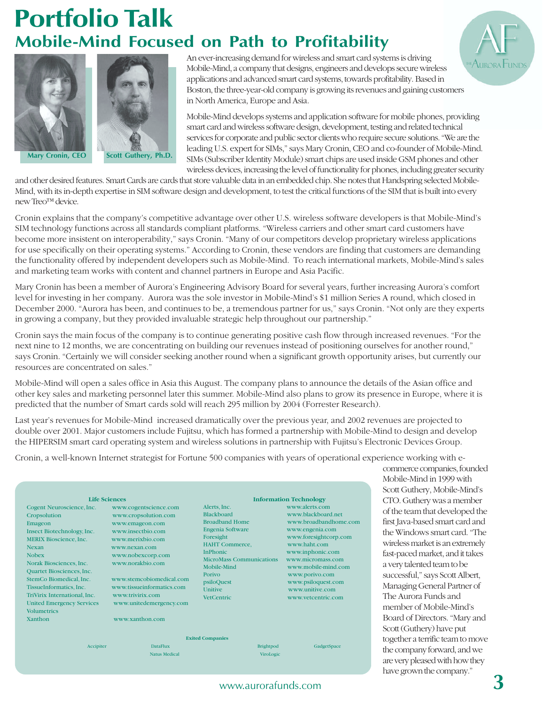### **Portfolio Talk Mobile-Mind Focused on Path to Profitability**





An ever-increasing demand for wireless and smart card systems is driving Mobile-Mind, a company that designs, engineers and develops secure wireless applications and advanced smart card systems, towards profitability. Based in Boston, the three-year-old company is growing its revenues and gaining customers in North America, Europe and Asia.

Mobile-Mind develops systems and application software for mobile phones, providing smart card and wireless software design, development, testing and related technical services for corporate and public sector clients who require secure solutions. "We are the leading U.S. expert for SIMs," says Mary Cronin, CEO and co-founder of Mobile-Mind. SIMs (Subscriber Identity Module) smart chips are used inside GSM phones and other wireless devices, increasing the level of functionality for phones, including greater security

and other desired features. Smart Cards are cards that store valuable data in an embedded chip. She notes that Handspring selected Mobile-Mind, with its in-depth expertise in SIM software design and development, to test the critical functions of the SIM that is built into every new Treo™ device.

Cronin explains that the company's competitive advantage over other U.S. wireless software developers is that Mobile-Mind's SIM technology functions across all standards compliant platforms. "Wireless carriers and other smart card customers have become more insistent on interoperability," says Cronin. "Many of our competitors develop proprietary wireless applications for use specifically on their operating systems." According to Cronin, these vendors are finding that customers are demanding the functionality offered by independent developers such as Mobile-Mind. To reach international markets, Mobile-Mind's sales and marketing team works with content and channel partners in Europe and Asia Pacific.

Mary Cronin has been a member of Aurora's Engineering Advisory Board for several years, further increasing Aurora's comfort level for investing in her company. Aurora was the sole investor in Mobile-Mind's \$1 million Series A round, which closed in December 2000. "Aurora has been, and continues to be, a tremendous partner for us," says Cronin. "Not only are they experts in growing a company, but they provided invaluable strategic help throughout our partnership."

Cronin says the main focus of the company is to continue generating positive cash flow through increased revenues. "For the next nine to 12 months, we are concentrating on building our revenues instead of positioning ourselves for another round," says Cronin. "Certainly we will consider seeking another round when a significant growth opportunity arises, but currently our resources are concentrated on sales."

Mobile-Mind will open a sales office in Asia this August. The company plans to announce the details of the Asian office and other key sales and marketing personnel later this summer. Mobile-Mind also plans to grow its presence in Europe, where it is predicted that the number of Smart cards sold will reach 295 million by 2004 (Forrester Research).

Last year's revenues for Mobile-Mind increased dramatically over the previous year, and 2002 revenues are projected to double over 2001. Major customers include Fujitsu, which has formed a partnership with Mobile-Mind to design and develop the HIPERSIM smart card operating system and wireless solutions in partnership with Fujitsu's Electronic Devices Group.

Cronin, a well-known Internet strategist for Fortune 500 companies with years of operational experience working with e-

| <b>Life Sciences</b>                                                                                                                                                                                                                                                                                                                                                   |                                                                                                                                                                                                                                                                                                | <b>Information Technology</b>                                                                                                                                                                                                                                            |                                                                                                                                                                                                                                                                            |
|------------------------------------------------------------------------------------------------------------------------------------------------------------------------------------------------------------------------------------------------------------------------------------------------------------------------------------------------------------------------|------------------------------------------------------------------------------------------------------------------------------------------------------------------------------------------------------------------------------------------------------------------------------------------------|--------------------------------------------------------------------------------------------------------------------------------------------------------------------------------------------------------------------------------------------------------------------------|----------------------------------------------------------------------------------------------------------------------------------------------------------------------------------------------------------------------------------------------------------------------------|
| Cogent Neuroscience, Inc.<br>Cropsolution<br>Emageon<br>Insect Biotechnology, Inc.<br><b>MERIX Bioscience, Inc.</b><br><b>Nexan</b><br><b>Nobex</b><br>Norak Biosciences, Inc.<br>Quartet Biosciences, Inc.<br>StemCo Biomedical, Inc.<br>TissueInformatics, Inc.<br>TriVirix International, Inc.<br><b>United Emergency Services</b><br><b>Volumetrics</b><br>Xanthon | www.cogentscience.com<br>www.cropsolution.com<br>www.emageon.com<br>www.insectbio.com<br>www.merixbio.com<br>www.nexan.com<br>www.nobexcorp.com<br>www.norakbio.com<br>www.stemcobiomedical.com<br>www.tissueinformatics.com<br>www.trivirix.com<br>www.unitedemergency.com<br>www.xanthon.com | Alerts, Inc.<br><b>Blackboard</b><br><b>Broadband Home</b><br>Engenia Software<br>Foresight<br><b>HAHT</b> Commerce,<br><b>InPhonic</b><br><b>MicroMass Communications</b><br>Mobile-Mind<br>Porivo<br>psiloQuest<br><b><i><u>I</u></i></b> Initive<br><b>VetCentric</b> | www alerts com<br>www.blackboard.net<br>www.broadbandhome.com<br>www.engenia.com<br>www.foresightcorp.com<br>www.haht.com<br>www.inphonic.com<br>www.micromass.com<br>www.mobile-mind.com<br>www.porivo.com<br>www.psiloquest.com<br>www.unitive.com<br>www.vetcentric.com |
|                                                                                                                                                                                                                                                                                                                                                                        |                                                                                                                                                                                                                                                                                                | <b>Exited Companies</b>                                                                                                                                                                                                                                                  |                                                                                                                                                                                                                                                                            |
| Accipiter                                                                                                                                                                                                                                                                                                                                                              | <b>DataFlux</b>                                                                                                                                                                                                                                                                                | <b>Brightpod</b>                                                                                                                                                                                                                                                         | GadgetSpace                                                                                                                                                                                                                                                                |
|                                                                                                                                                                                                                                                                                                                                                                        | <b>Natus Medical</b>                                                                                                                                                                                                                                                                           | <b>ViroLogic</b>                                                                                                                                                                                                                                                         |                                                                                                                                                                                                                                                                            |

commerce companies, founded Mobile-Mind in 1999 with Scott Guthery, Mobile-Mind's CTO. Guthery was a member of the team that developed the first Java-based smart card and the Windows smart card. "The wireless market is an extremely fast-paced market, and it takes a very talented team to be successful," says Scott Albert, Managing General Partner of The Aurora Funds and member of Mobile-Mind's Board of Directors. "Mary and Scott (Guthery) have put together a terrific team to move the company forward, and we are very pleased with how they have grown the company."

www.aurorafunds.com